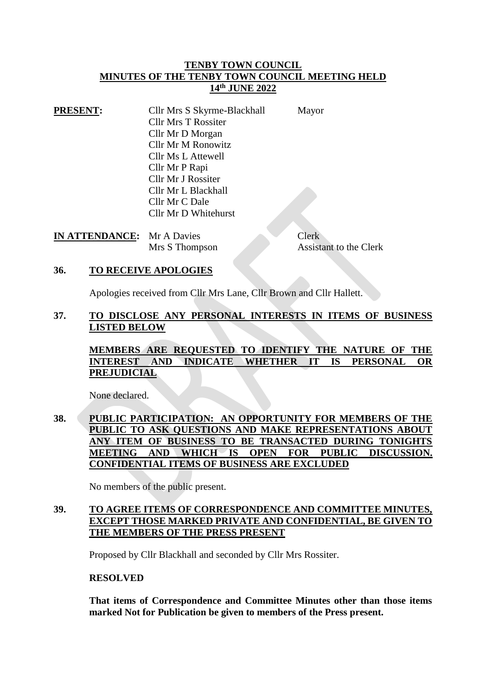### **TENBY TOWN COUNCIL MINUTES OF THE TENBY TOWN COUNCIL MEETING HELD 14th JUNE 2022**

| <b>PRESENT:</b> | Cllr Mrs S Skyrme-Blackhall | Mayor |
|-----------------|-----------------------------|-------|
|                 | <b>Cllr Mrs T Rossiter</b>  |       |
|                 | Cllr Mr D Morgan            |       |
|                 | Cllr Mr M Ronowitz          |       |
|                 | Cllr Ms L Attewell          |       |
|                 | Cllr Mr P Rapi              |       |
|                 | Cllr Mr J Rossiter          |       |
|                 | Cllr Mr L Blackhall         |       |
|                 | Cllr Mr C Dale              |       |
|                 | Cllr Mr D Whitehurst        |       |

**IN ATTENDANCE:** Mr A Davies Clerk

Mrs S Thompson Assistant to the Clerk

### **36. TO RECEIVE APOLOGIES**

Apologies received from Cllr Mrs Lane, Cllr Brown and Cllr Hallett.

### **37. TO DISCLOSE ANY PERSONAL INTERESTS IN ITEMS OF BUSINESS LISTED BELOW**

**MEMBERS ARE REQUESTED TO IDENTIFY THE NATURE OF THE INTEREST AND INDICATE WHETHER IT IS PERSONAL OR PREJUDICIAL**

None declared.

## **38. PUBLIC PARTICIPATION: AN OPPORTUNITY FOR MEMBERS OF THE PUBLIC TO ASK QUESTIONS AND MAKE REPRESENTATIONS ABOUT ANY ITEM OF BUSINESS TO BE TRANSACTED DURING TONIGHTS MEETING AND WHICH IS OPEN FOR PUBLIC DISCUSSION. CONFIDENTIAL ITEMS OF BUSINESS ARE EXCLUDED**

No members of the public present.

## **39. TO AGREE ITEMS OF CORRESPONDENCE AND COMMITTEE MINUTES, EXCEPT THOSE MARKED PRIVATE AND CONFIDENTIAL, BE GIVEN TO THE MEMBERS OF THE PRESS PRESENT**

Proposed by Cllr Blackhall and seconded by Cllr Mrs Rossiter.

### **RESOLVED**

**That items of Correspondence and Committee Minutes other than those items marked Not for Publication be given to members of the Press present.**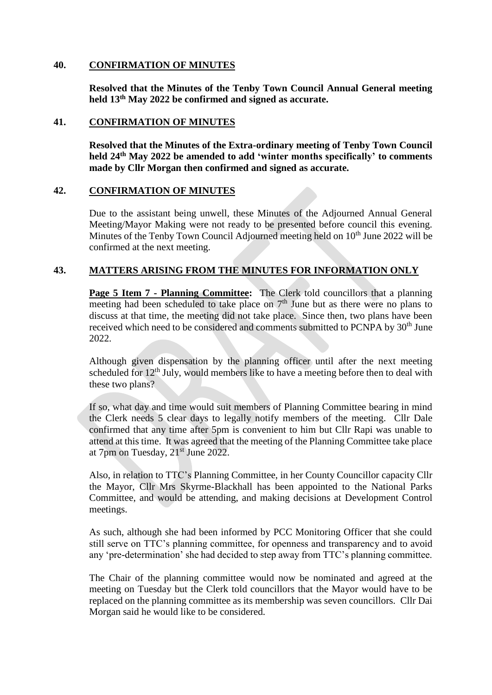### **40. CONFIRMATION OF MINUTES**

**Resolved that the Minutes of the Tenby Town Council Annual General meeting held 13th May 2022 be confirmed and signed as accurate.**

### **41. CONFIRMATION OF MINUTES**

**Resolved that the Minutes of the Extra-ordinary meeting of Tenby Town Council held 24th May 2022 be amended to add 'winter months specifically' to comments made by Cllr Morgan then confirmed and signed as accurate.**

### **42. CONFIRMATION OF MINUTES**

Due to the assistant being unwell, these Minutes of the Adjourned Annual General Meeting/Mayor Making were not ready to be presented before council this evening. Minutes of the Tenby Town Council Adjourned meeting held on  $10<sup>th</sup>$  June 2022 will be confirmed at the next meeting.

## **43. MATTERS ARISING FROM THE MINUTES FOR INFORMATION ONLY**

**Page 5 Item 7 - Planning Committee:** The Clerk told councillors that a planning meeting had been scheduled to take place on  $7<sup>th</sup>$  June but as there were no plans to discuss at that time, the meeting did not take place. Since then, two plans have been received which need to be considered and comments submitted to PCNPA by 30<sup>th</sup> June 2022.

Although given dispensation by the planning officer until after the next meeting scheduled for  $12<sup>th</sup>$  July, would members like to have a meeting before then to deal with these two plans?

If so, what day and time would suit members of Planning Committee bearing in mind the Clerk needs 5 clear days to legally notify members of the meeting. Cllr Dale confirmed that any time after 5pm is convenient to him but Cllr Rapi was unable to attend at this time. It was agreed that the meeting of the Planning Committee take place at 7pm on Tuesday, 21<sup>st</sup> June 2022.

Also, in relation to TTC's Planning Committee, in her County Councillor capacity Cllr the Mayor, Cllr Mrs Skyrme-Blackhall has been appointed to the National Parks Committee, and would be attending, and making decisions at Development Control meetings.

As such, although she had been informed by PCC Monitoring Officer that she could still serve on TTC's planning committee, for openness and transparency and to avoid any 'pre-determination' she had decided to step away from TTC's planning committee.

The Chair of the planning committee would now be nominated and agreed at the meeting on Tuesday but the Clerk told councillors that the Mayor would have to be replaced on the planning committee as its membership was seven councillors. Cllr Dai Morgan said he would like to be considered.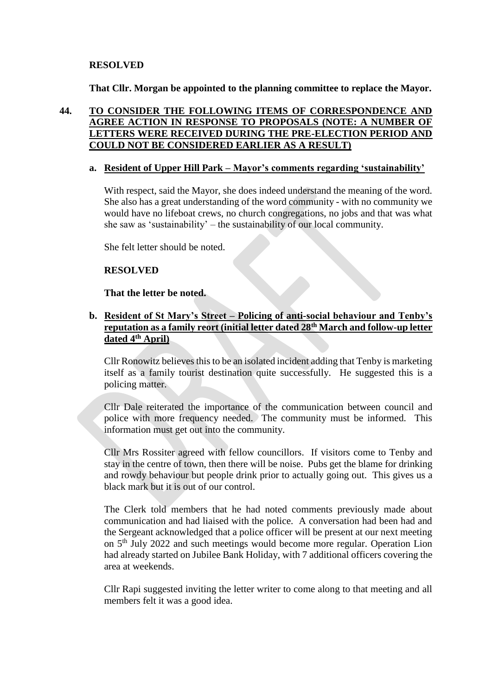### **RESOLVED**

**That Cllr. Morgan be appointed to the planning committee to replace the Mayor.**

## **44. TO CONSIDER THE FOLLOWING ITEMS OF CORRESPONDENCE AND AGREE ACTION IN RESPONSE TO PROPOSALS (NOTE: A NUMBER OF LETTERS WERE RECEIVED DURING THE PRE-ELECTION PERIOD AND COULD NOT BE CONSIDERED EARLIER AS A RESULT)**

### **a. Resident of Upper Hill Park – Mayor's comments regarding 'sustainability'**

With respect, said the Mayor, she does indeed understand the meaning of the word. She also has a great understanding of the word community - with no community we would have no lifeboat crews, no church congregations, no jobs and that was what she saw as 'sustainability' – the sustainability of our local community.

She felt letter should be noted.

### **RESOLVED**

### **That the letter be noted.**

**b. Resident of St Mary's Street – Policing of anti-social behaviour and Tenby's reputation as a family reort (initial letter dated 28th March and follow-up letter dated 4th April)**

Cllr Ronowitz believes this to be an isolated incident adding that Tenby is marketing itself as a family tourist destination quite successfully. He suggested this is a policing matter.

Cllr Dale reiterated the importance of the communication between council and police with more frequency needed. The community must be informed. This information must get out into the community.

Cllr Mrs Rossiter agreed with fellow councillors. If visitors come to Tenby and stay in the centre of town, then there will be noise. Pubs get the blame for drinking and rowdy behaviour but people drink prior to actually going out. This gives us a black mark but it is out of our control.

The Clerk told members that he had noted comments previously made about communication and had liaised with the police. A conversation had been had and the Sergeant acknowledged that a police officer will be present at our next meeting on 5 th July 2022 and such meetings would become more regular. Operation Lion had already started on Jubilee Bank Holiday, with 7 additional officers covering the area at weekends.

Cllr Rapi suggested inviting the letter writer to come along to that meeting and all members felt it was a good idea.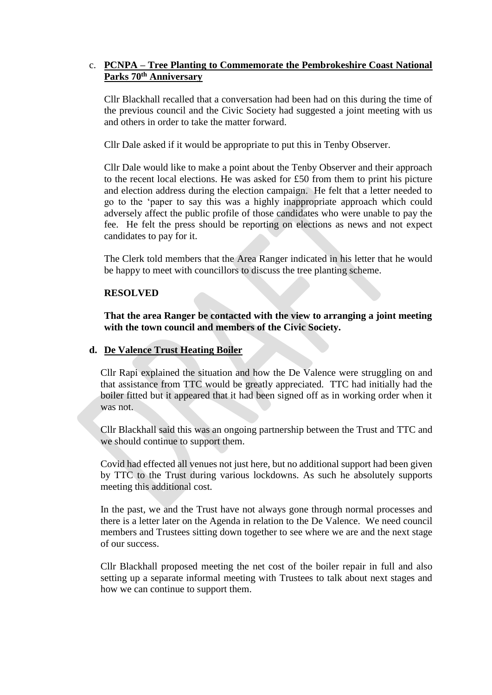## c. **PCNPA – Tree Planting to Commemorate the Pembrokeshire Coast National Parks 70th Anniversary**

Cllr Blackhall recalled that a conversation had been had on this during the time of the previous council and the Civic Society had suggested a joint meeting with us and others in order to take the matter forward.

Cllr Dale asked if it would be appropriate to put this in Tenby Observer.

Cllr Dale would like to make a point about the Tenby Observer and their approach to the recent local elections. He was asked for £50 from them to print his picture and election address during the election campaign. He felt that a letter needed to go to the 'paper to say this was a highly inappropriate approach which could adversely affect the public profile of those candidates who were unable to pay the fee. He felt the press should be reporting on elections as news and not expect candidates to pay for it.

The Clerk told members that the Area Ranger indicated in his letter that he would be happy to meet with councillors to discuss the tree planting scheme.

#### **RESOLVED**

**That the area Ranger be contacted with the view to arranging a joint meeting with the town council and members of the Civic Society.**

#### **d. De Valence Trust Heating Boiler**

Cllr Rapi explained the situation and how the De Valence were struggling on and that assistance from TTC would be greatly appreciated. TTC had initially had the boiler fitted but it appeared that it had been signed off as in working order when it was not.

Cllr Blackhall said this was an ongoing partnership between the Trust and TTC and we should continue to support them.

Covid had effected all venues not just here, but no additional support had been given by TTC to the Trust during various lockdowns. As such he absolutely supports meeting this additional cost.

In the past, we and the Trust have not always gone through normal processes and there is a letter later on the Agenda in relation to the De Valence. We need council members and Trustees sitting down together to see where we are and the next stage of our success.

Cllr Blackhall proposed meeting the net cost of the boiler repair in full and also setting up a separate informal meeting with Trustees to talk about next stages and how we can continue to support them.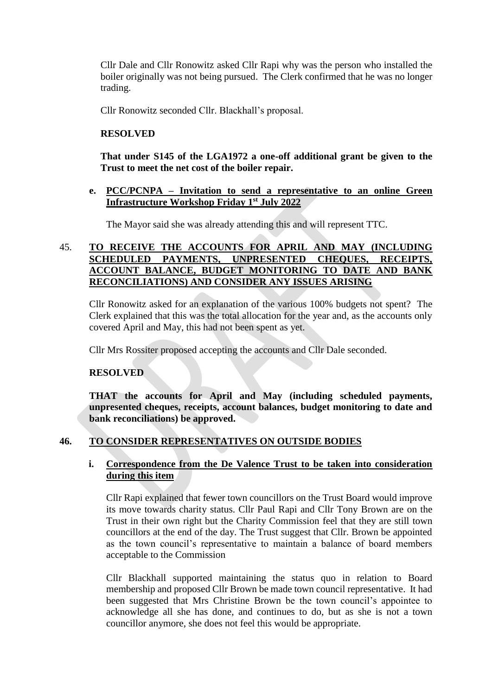Cllr Dale and Cllr Ronowitz asked Cllr Rapi why was the person who installed the boiler originally was not being pursued. The Clerk confirmed that he was no longer trading.

Cllr Ronowitz seconded Cllr. Blackhall's proposal.

### **RESOLVED**

**That under S145 of the LGA1972 a one-off additional grant be given to the Trust to meet the net cost of the boiler repair.** 

### **e. PCC/PCNPA – Invitation to send a representative to an online Green Infrastructure Workshop Friday 1st July 2022**

The Mayor said she was already attending this and will represent TTC.

# 45. **TO RECEIVE THE ACCOUNTS FOR APRIL AND MAY (INCLUDING SCHEDULED PAYMENTS, UNPRESENTED CHEQUES, RECEIPTS, ACCOUNT BALANCE, BUDGET MONITORING TO DATE AND BANK RECONCILIATIONS) AND CONSIDER ANY ISSUES ARISING**

Cllr Ronowitz asked for an explanation of the various 100% budgets not spent? The Clerk explained that this was the total allocation for the year and, as the accounts only covered April and May, this had not been spent as yet.

Cllr Mrs Rossiter proposed accepting the accounts and Cllr Dale seconded.

## **RESOLVED**

**THAT the accounts for April and May (including scheduled payments, unpresented cheques, receipts, account balances, budget monitoring to date and bank reconciliations) be approved.**

## **46. TO CONSIDER REPRESENTATIVES ON OUTSIDE BODIES**

## **i. Correspondence from the De Valence Trust to be taken into consideration during this item**

Cllr Rapi explained that fewer town councillors on the Trust Board would improve its move towards charity status. Cllr Paul Rapi and Cllr Tony Brown are on the Trust in their own right but the Charity Commission feel that they are still town councillors at the end of the day. The Trust suggest that Cllr. Brown be appointed as the town council's representative to maintain a balance of board members acceptable to the Commission

Cllr Blackhall supported maintaining the status quo in relation to Board membership and proposed Cllr Brown be made town council representative. It had been suggested that Mrs Christine Brown be the town council's appointee to acknowledge all she has done, and continues to do, but as she is not a town councillor anymore, she does not feel this would be appropriate.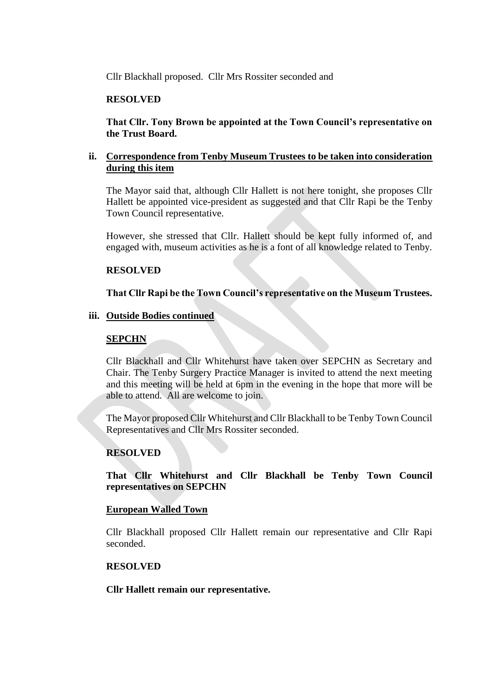Cllr Blackhall proposed. Cllr Mrs Rossiter seconded and

### **RESOLVED**

**That Cllr. Tony Brown be appointed at the Town Council's representative on the Trust Board.**

### **ii. Correspondence from Tenby Museum Trustees to be taken into consideration during this item**

The Mayor said that, although Cllr Hallett is not here tonight, she proposes Cllr Hallett be appointed vice-president as suggested and that Cllr Rapi be the Tenby Town Council representative.

However, she stressed that Cllr. Hallett should be kept fully informed of, and engaged with, museum activities as he is a font of all knowledge related to Tenby.

### **RESOLVED**

### **That Cllr Rapi be the Town Council's representative on the Museum Trustees.**

### **iii. Outside Bodies continued**

### **SEPCHN**

Cllr Blackhall and Cllr Whitehurst have taken over SEPCHN as Secretary and Chair. The Tenby Surgery Practice Manager is invited to attend the next meeting and this meeting will be held at 6pm in the evening in the hope that more will be able to attend. All are welcome to join.

The Mayor proposed Cllr Whitehurst and Cllr Blackhall to be Tenby Town Council Representatives and Cllr Mrs Rossiter seconded.

### **RESOLVED**

**That Cllr Whitehurst and Cllr Blackhall be Tenby Town Council representatives on SEPCHN**

### **European Walled Town**

Cllr Blackhall proposed Cllr Hallett remain our representative and Cllr Rapi seconded.

### **RESOLVED**

**Cllr Hallett remain our representative.**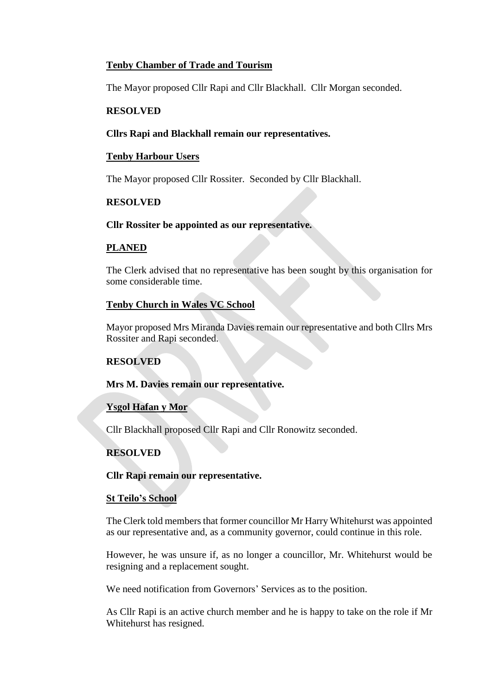# **Tenby Chamber of Trade and Tourism**

The Mayor proposed Cllr Rapi and Cllr Blackhall. Cllr Morgan seconded.

## **RESOLVED**

### **Cllrs Rapi and Blackhall remain our representatives.**

### **Tenby Harbour Users**

The Mayor proposed Cllr Rossiter. Seconded by Cllr Blackhall.

### **RESOLVED**

### **Cllr Rossiter be appointed as our representative.**

### **PLANED**

The Clerk advised that no representative has been sought by this organisation for some considerable time.

### **Tenby Church in Wales VC School**

Mayor proposed Mrs Miranda Davies remain our representative and both Cllrs Mrs Rossiter and Rapi seconded.

## **RESOLVED**

### **Mrs M. Davies remain our representative.**

## **Ysgol Hafan y Mor**

Cllr Blackhall proposed Cllr Rapi and Cllr Ronowitz seconded.

## **RESOLVED**

### **Cllr Rapi remain our representative.**

### **St Teilo's School**

The Clerk told members that former councillor Mr Harry Whitehurst was appointed as our representative and, as a community governor, could continue in this role.

However, he was unsure if, as no longer a councillor, Mr. Whitehurst would be resigning and a replacement sought.

We need notification from Governors' Services as to the position.

As Cllr Rapi is an active church member and he is happy to take on the role if Mr Whitehurst has resigned.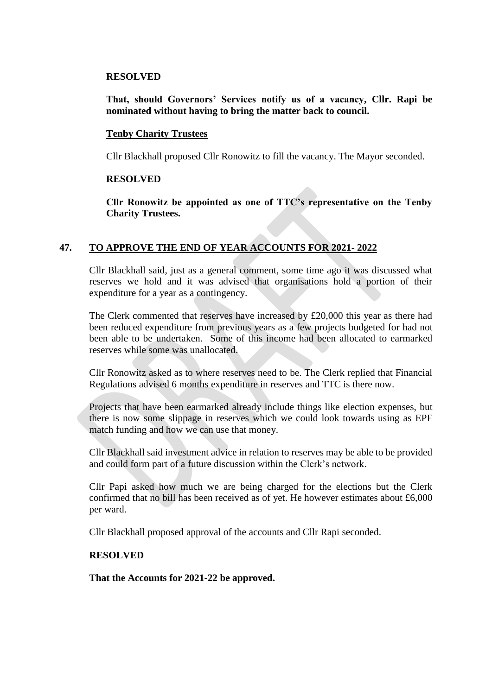#### **RESOLVED**

### **That, should Governors' Services notify us of a vacancy, Cllr. Rapi be nominated without having to bring the matter back to council.**

### **Tenby Charity Trustees**

Cllr Blackhall proposed Cllr Ronowitz to fill the vacancy. The Mayor seconded.

### **RESOLVED**

**Cllr Ronowitz be appointed as one of TTC's representative on the Tenby Charity Trustees.**

### **47. TO APPROVE THE END OF YEAR ACCOUNTS FOR 2021- 2022**

Cllr Blackhall said, just as a general comment, some time ago it was discussed what reserves we hold and it was advised that organisations hold a portion of their expenditure for a year as a contingency.

The Clerk commented that reserves have increased by £20,000 this year as there had been reduced expenditure from previous years as a few projects budgeted for had not been able to be undertaken. Some of this income had been allocated to earmarked reserves while some was unallocated.

Cllr Ronowitz asked as to where reserves need to be. The Clerk replied that Financial Regulations advised 6 months expenditure in reserves and TTC is there now.

Projects that have been earmarked already include things like election expenses, but there is now some slippage in reserves which we could look towards using as EPF match funding and how we can use that money.

Cllr Blackhall said investment advice in relation to reserves may be able to be provided and could form part of a future discussion within the Clerk's network.

Cllr Papi asked how much we are being charged for the elections but the Clerk confirmed that no bill has been received as of yet. He however estimates about £6,000 per ward.

Cllr Blackhall proposed approval of the accounts and Cllr Rapi seconded.

#### **RESOLVED**

**That the Accounts for 2021-22 be approved.**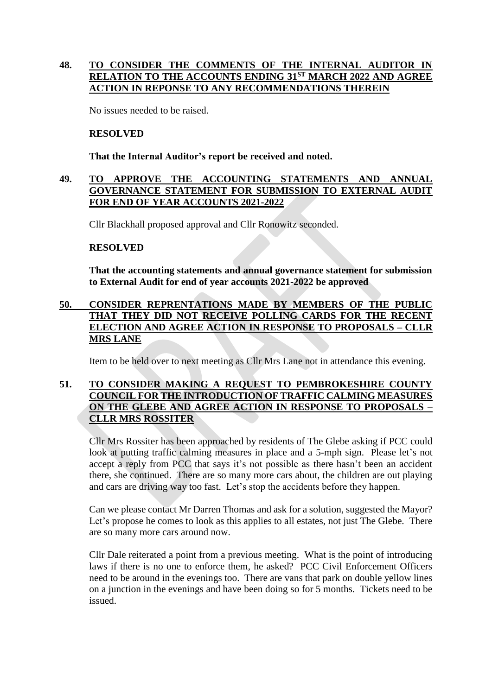# **48. TO CONSIDER THE COMMENTS OF THE INTERNAL AUDITOR IN RELATION TO THE ACCOUNTS ENDING 31ST MARCH 2022 AND AGREE ACTION IN REPONSE TO ANY RECOMMENDATIONS THEREIN**

No issues needed to be raised.

### **RESOLVED**

**That the Internal Auditor's report be received and noted.**

### **49. TO APPROVE THE ACCOUNTING STATEMENTS AND ANNUAL GOVERNANCE STATEMENT FOR SUBMISSION TO EXTERNAL AUDIT FOR END OF YEAR ACCOUNTS 2021-2022**

Cllr Blackhall proposed approval and Cllr Ronowitz seconded.

### **RESOLVED**

**That the accounting statements and annual governance statement for submission to External Audit for end of year accounts 2021-2022 be approved**

## **50. CONSIDER REPRENTATIONS MADE BY MEMBERS OF THE PUBLIC THAT THEY DID NOT RECEIVE POLLING CARDS FOR THE RECENT ELECTION AND AGREE ACTION IN RESPONSE TO PROPOSALS – CLLR MRS LANE**

Item to be held over to next meeting as Cllr Mrs Lane not in attendance this evening.

## **51. TO CONSIDER MAKING A REQUEST TO PEMBROKESHIRE COUNTY COUNCIL FOR THE INTRODUCTION OF TRAFFIC CALMING MEASURES ON THE GLEBE AND AGREE ACTION IN RESPONSE TO PROPOSALS – CLLR MRS ROSSITER**

Cllr Mrs Rossiter has been approached by residents of The Glebe asking if PCC could look at putting traffic calming measures in place and a 5-mph sign. Please let's not accept a reply from PCC that says it's not possible as there hasn't been an accident there, she continued. There are so many more cars about, the children are out playing and cars are driving way too fast. Let's stop the accidents before they happen.

Can we please contact Mr Darren Thomas and ask for a solution, suggested the Mayor? Let's propose he comes to look as this applies to all estates, not just The Glebe. There are so many more cars around now.

Cllr Dale reiterated a point from a previous meeting. What is the point of introducing laws if there is no one to enforce them, he asked? PCC Civil Enforcement Officers need to be around in the evenings too. There are vans that park on double yellow lines on a junction in the evenings and have been doing so for 5 months. Tickets need to be issued.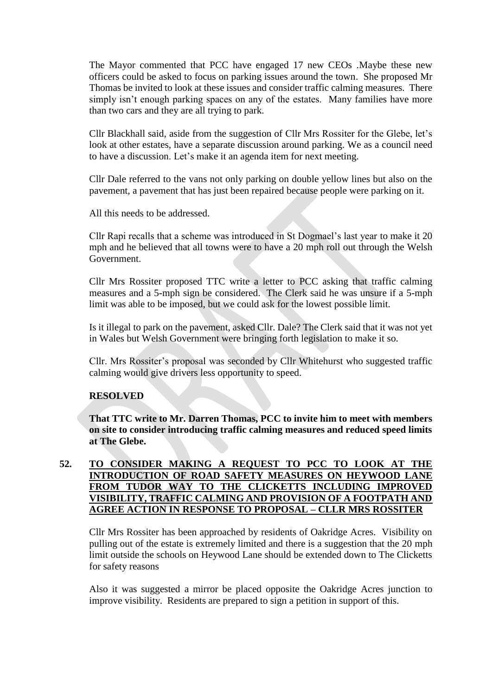The Mayor commented that PCC have engaged 17 new CEOs .Maybe these new officers could be asked to focus on parking issues around the town. She proposed Mr Thomas be invited to look at these issues and consider traffic calming measures. There simply isn't enough parking spaces on any of the estates. Many families have more than two cars and they are all trying to park.

Cllr Blackhall said, aside from the suggestion of Cllr Mrs Rossiter for the Glebe, let's look at other estates, have a separate discussion around parking. We as a council need to have a discussion. Let's make it an agenda item for next meeting.

Cllr Dale referred to the vans not only parking on double yellow lines but also on the pavement, a pavement that has just been repaired because people were parking on it.

All this needs to be addressed.

Cllr Rapi recalls that a scheme was introduced in St Dogmael's last year to make it 20 mph and he believed that all towns were to have a 20 mph roll out through the Welsh Government.

Cllr Mrs Rossiter proposed TTC write a letter to PCC asking that traffic calming measures and a 5-mph sign be considered. The Clerk said he was unsure if a 5-mph limit was able to be imposed, but we could ask for the lowest possible limit.

Is it illegal to park on the pavement, asked Cllr. Dale? The Clerk said that it was not yet in Wales but Welsh Government were bringing forth legislation to make it so.

Cllr. Mrs Rossiter's proposal was seconded by Cllr Whitehurst who suggested traffic calming would give drivers less opportunity to speed.

### **RESOLVED**

**That TTC write to Mr. Darren Thomas, PCC to invite him to meet with members on site to consider introducing traffic calming measures and reduced speed limits at The Glebe.**

## **52. TO CONSIDER MAKING A REQUEST TO PCC TO LOOK AT THE INTRODUCTION OF ROAD SAFETY MEASURES ON HEYWOOD LANE FROM TUDOR WAY TO THE CLICKETTS INCLUDING IMPROVED VISIBILITY, TRAFFIC CALMING AND PROVISION OF A FOOTPATH AND AGREE ACTION IN RESPONSE TO PROPOSAL – CLLR MRS ROSSITER**

Cllr Mrs Rossiter has been approached by residents of Oakridge Acres. Visibility on pulling out of the estate is extremely limited and there is a suggestion that the 20 mph limit outside the schools on Heywood Lane should be extended down to The Clicketts for safety reasons

Also it was suggested a mirror be placed opposite the Oakridge Acres junction to improve visibility. Residents are prepared to sign a petition in support of this.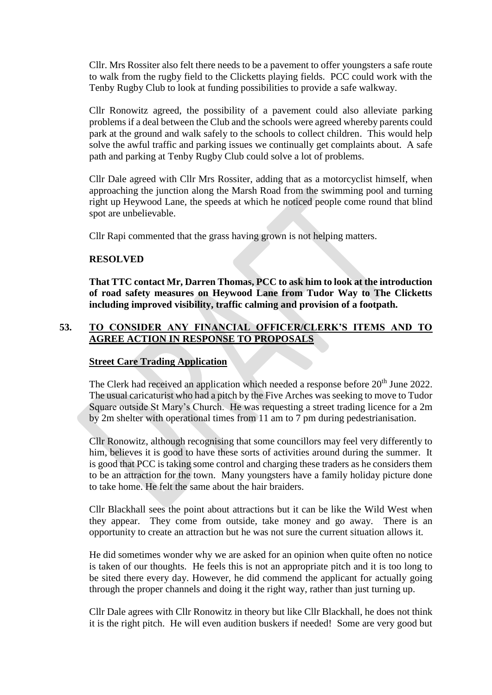Cllr. Mrs Rossiter also felt there needs to be a pavement to offer youngsters a safe route to walk from the rugby field to the Clicketts playing fields. PCC could work with the Tenby Rugby Club to look at funding possibilities to provide a safe walkway.

Cllr Ronowitz agreed, the possibility of a pavement could also alleviate parking problems if a deal between the Club and the schools were agreed whereby parents could park at the ground and walk safely to the schools to collect children. This would help solve the awful traffic and parking issues we continually get complaints about. A safe path and parking at Tenby Rugby Club could solve a lot of problems.

Cllr Dale agreed with Cllr Mrs Rossiter, adding that as a motorcyclist himself, when approaching the junction along the Marsh Road from the swimming pool and turning right up Heywood Lane, the speeds at which he noticed people come round that blind spot are unbelievable.

Cllr Rapi commented that the grass having grown is not helping matters.

### **RESOLVED**

**That TTC contact Mr, Darren Thomas, PCC to ask him to look at the introduction of road safety measures on Heywood Lane from Tudor Way to The Clicketts including improved visibility, traffic calming and provision of a footpath.**

# **53. TO CONSIDER ANY FINANCIAL OFFICER/CLERK'S ITEMS AND TO AGREE ACTION IN RESPONSE TO PROPOSALS**

## **Street Care Trading Application**

The Clerk had received an application which needed a response before 20<sup>th</sup> June 2022. The usual caricaturist who had a pitch by the Five Arches was seeking to move to Tudor Square outside St Mary's Church. He was requesting a street trading licence for a 2m by 2m shelter with operational times from 11 am to 7 pm during pedestrianisation.

Cllr Ronowitz, although recognising that some councillors may feel very differently to him, believes it is good to have these sorts of activities around during the summer. It is good that PCC is taking some control and charging these traders as he considers them to be an attraction for the town. Many youngsters have a family holiday picture done to take home. He felt the same about the hair braiders.

Cllr Blackhall sees the point about attractions but it can be like the Wild West when they appear. They come from outside, take money and go away. There is an opportunity to create an attraction but he was not sure the current situation allows it.

He did sometimes wonder why we are asked for an opinion when quite often no notice is taken of our thoughts. He feels this is not an appropriate pitch and it is too long to be sited there every day. However, he did commend the applicant for actually going through the proper channels and doing it the right way, rather than just turning up.

Cllr Dale agrees with Cllr Ronowitz in theory but like Cllr Blackhall, he does not think it is the right pitch. He will even audition buskers if needed! Some are very good but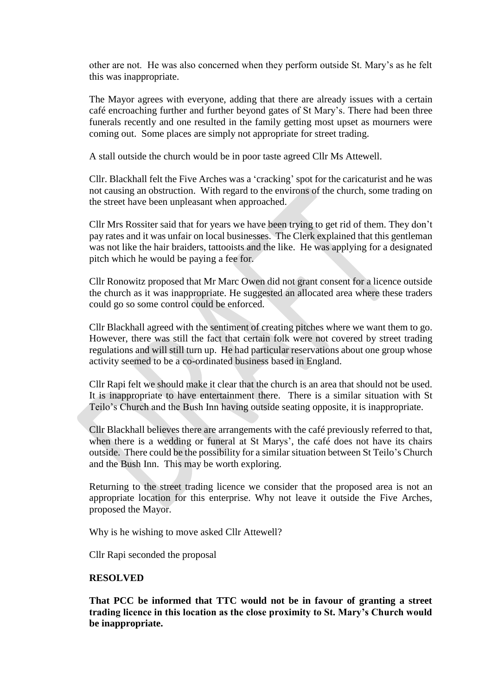other are not. He was also concerned when they perform outside St. Mary's as he felt this was inappropriate.

The Mayor agrees with everyone, adding that there are already issues with a certain café encroaching further and further beyond gates of St Mary's. There had been three funerals recently and one resulted in the family getting most upset as mourners were coming out. Some places are simply not appropriate for street trading.

A stall outside the church would be in poor taste agreed Cllr Ms Attewell.

Cllr. Blackhall felt the Five Arches was a 'cracking' spot for the caricaturist and he was not causing an obstruction. With regard to the environs of the church, some trading on the street have been unpleasant when approached.

Cllr Mrs Rossiter said that for years we have been trying to get rid of them. They don't pay rates and it was unfair on local businesses. The Clerk explained that this gentleman was not like the hair braiders, tattooists and the like. He was applying for a designated pitch which he would be paying a fee for.

Cllr Ronowitz proposed that Mr Marc Owen did not grant consent for a licence outside the church as it was inappropriate. He suggested an allocated area where these traders could go so some control could be enforced.

Cllr Blackhall agreed with the sentiment of creating pitches where we want them to go. However, there was still the fact that certain folk were not covered by street trading regulations and will still turn up. He had particular reservations about one group whose activity seemed to be a co-ordinated business based in England.

Cllr Rapi felt we should make it clear that the church is an area that should not be used. It is inappropriate to have entertainment there. There is a similar situation with St Teilo's Church and the Bush Inn having outside seating opposite, it is inappropriate.

Cllr Blackhall believes there are arrangements with the café previously referred to that, when there is a wedding or funeral at St Marys', the café does not have its chairs outside. There could be the possibility for a similar situation between St Teilo's Church and the Bush Inn. This may be worth exploring.

Returning to the street trading licence we consider that the proposed area is not an appropriate location for this enterprise. Why not leave it outside the Five Arches, proposed the Mayor.

Why is he wishing to move asked Cllr Attewell?

Cllr Rapi seconded the proposal

### **RESOLVED**

**That PCC be informed that TTC would not be in favour of granting a street trading licence in this location as the close proximity to St. Mary's Church would be inappropriate.**